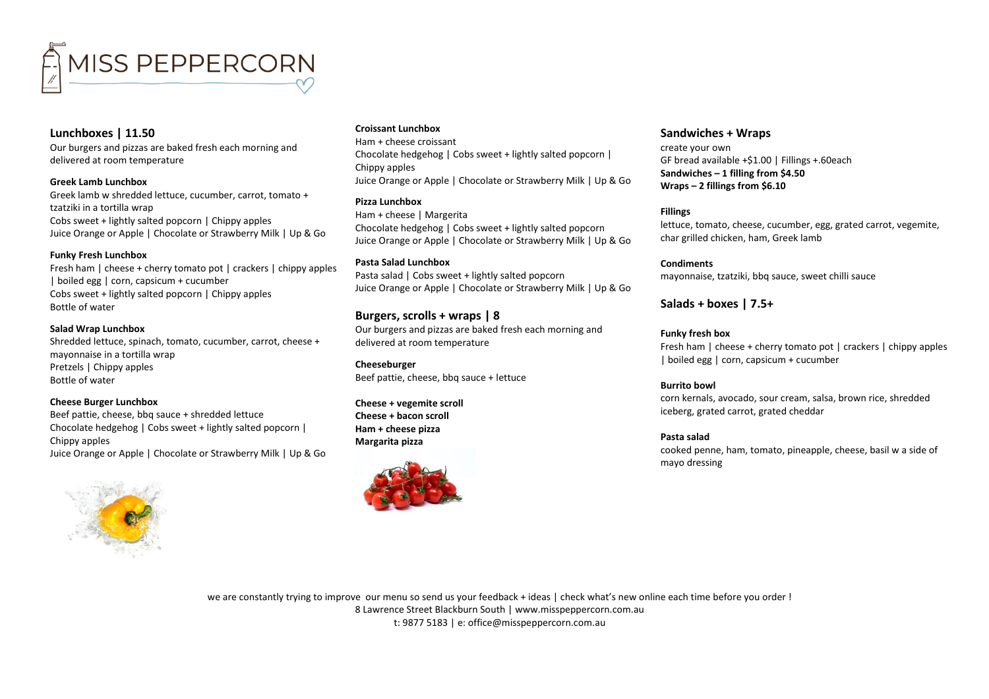

# **Lunchboxes | 11.50**

Our burgers and pizzas are baked fresh each morning and delivered at room temperature

**Greek Lamb Lunchbox** Greek lamb w shredded lettuce, cucumber, carrot, tomato + tzatziki in a tortilla wrap Cobs sweet + lightly salted popcorn | Chippy apples Juice Orange or Apple | Chocolate or Strawberry Milk | Up & Go

### **Funky Fresh Lunchbox**

Fresh ham | cheese + cherry tomato pot | crackers | chippy apples | boiled egg | corn, capsicum + cucumber Cobs sweet + lightly salted popcorn | Chippy apples Bottle of water

#### **Salad Wrap Lunchbox**

Shredded lettuce, spinach, tomato, cucumber, carrot, cheese + mayonnaise in a tortilla wrap Pretzels | Chippy apples Bottle of water

#### **Cheese Burger Lunchbox**

Beef pattie, cheese, bbq sauce + shredded lettuce Chocolate hedgehog | Cobs sweet + lightly salted popcorn | Chippy apples Juice Orange or Apple | Chocolate or Strawberry Milk | Up & Go



### **Croissant Lunchbox**

Ham + cheese croissant Chocolate hedgehog | Cobs sweet + lightly salted popcorn | Chippy apples Juice Orange or Apple | Chocolate or Strawberry Milk | Up & Go

### **Pizza Lunchbox**

Ham + cheese | Margerita Chocolate hedgehog | Cobs sweet + lightly salted popcorn Juice Orange or Apple | Chocolate or Strawberry Milk | Up & Go

**Pasta Salad Lunchbox** Pasta salad | Cobs sweet + lightly salted popcorn Juice Orange or Apple | Chocolate or Strawberry Milk | Up & Go

# **Burgers, scrolls + wraps | 8**

Our burgers and pizzas are baked fresh each morning and delivered at room temperature

**Cheeseburger** Beef pattie, cheese, bbq sauce + lettuce

**Cheese + vegemite scroll Cheese + bacon scroll Ham + cheese pizza Margarita pizza**



# **Sandwiches + Wraps**

create your own GF bread available +\$1.00 | Fillings +.60each **Sandwiches – 1 filling from \$4.50 Wraps – 2 fillings from \$6.10**

### **Fillings**

lettuce, tomato, cheese, cucumber, egg, grated carrot, vegemite, char grilled chicken, ham, Greek lamb

### **Condiments**

mayonnaise, tzatziki, bbq sauce, sweet chilli sauce

### **Salads + boxes | 7.5+**

### **Funky fresh box**

Fresh ham | cheese + cherry tomato pot | crackers | chippy apples | boiled egg | corn, capsicum + cucumber

#### **Burrito bowl**

corn kernals, avocado, sour cream, salsa, brown rice, shredded iceberg, grated carrot, grated cheddar

### **Pasta salad**

cooked penne, ham, tomato, pineapple, cheese, basil w a side of mayo dressing

we are constantly trying to improve our menu so send us your feedback + ideas | check what's new online each time before you order ! 8 Lawrence Street Blackburn South [| www.misspeppercorn.com.au](http://www.misspeppercorn.com.au/) t: 9877 5183 | e: office@misspeppercorn.com.au